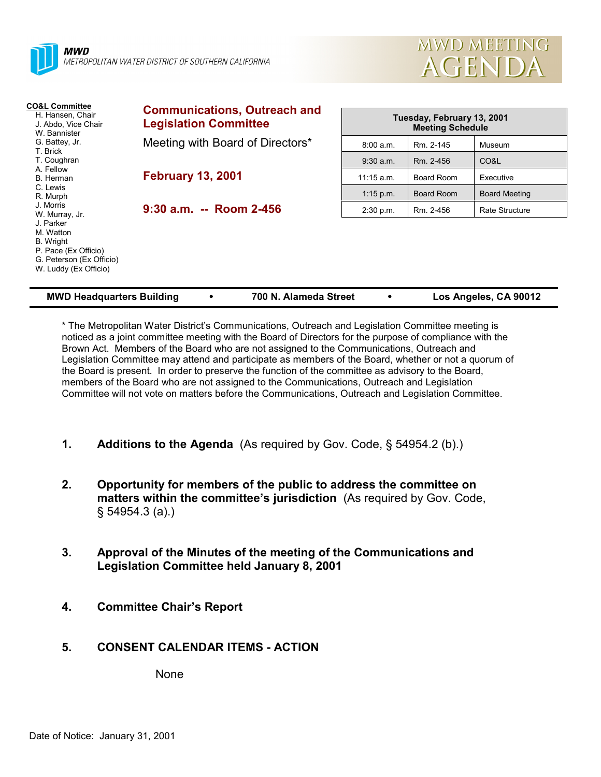



| <b>CO&amp;L Committee</b><br>H. Hansen, Chair<br>J. Abdo, Vice Chair<br>W. Bannister                             | <b>Communications, Outreach and</b><br><b>Legislation Committee</b> | Tuesday, February 13, 2001<br><b>Meeting Schedule</b> |                   |                      |  |
|------------------------------------------------------------------------------------------------------------------|---------------------------------------------------------------------|-------------------------------------------------------|-------------------|----------------------|--|
| G. Battey, Jr.<br>T. Brick                                                                                       | Meeting with Board of Directors*                                    | 8:00 a.m.                                             | Rm. 2-145         | Museum               |  |
| T. Coughran                                                                                                      |                                                                     | $9:30$ a.m.                                           | Rm. 2-456         | CO&L                 |  |
| A. Fellow<br>B. Herman                                                                                           | <b>February 13, 2001</b>                                            | $11:15$ a.m.                                          | Board Room        | Executive            |  |
| C. Lewis<br>R. Murph                                                                                             |                                                                     | $1:15$ p.m.                                           | <b>Board Room</b> | <b>Board Meeting</b> |  |
| J. Morris<br>W. Murray, Jr.                                                                                      | $9:30$ a.m. -- Room 2-456                                           | 2:30 p.m.                                             | Rm. 2-456         | Rate Structure       |  |
| J. Parker<br>M. Watton<br>B. Wright<br>P. Pace (Ex Officio)<br>G. Peterson (Ex Officio)<br>W. Luddy (Ex Officio) |                                                                     |                                                       |                   |                      |  |

| <b>MWD Headquarters Building</b> |  | 700 N. Alameda Street |  | Los Angeles, CA 90012 |
|----------------------------------|--|-----------------------|--|-----------------------|
|----------------------------------|--|-----------------------|--|-----------------------|

\* The Metropolitan Water District's Communications, Outreach and Legislation Committee meeting is noticed as a joint committee meeting with the Board of Directors for the purpose of compliance with the Brown Act. Members of the Board who are not assigned to the Communications, Outreach and Legislation Committee may attend and participate as members of the Board, whether or not a quorum of the Board is present. In order to preserve the function of the committee as advisory to the Board, members of the Board who are not assigned to the Communications, Outreach and Legislation Committee will not vote on matters before the Communications, Outreach and Legislation Committee.

- **1. Additions to the Agenda** (As required by Gov. Code, § 54954.2 (b).)
- **2. Opportunity for members of the public to address the committee on matters within the committee's jurisdiction** (As required by Gov. Code, § 54954.3 (a).)
- **3. Approval of the Minutes of the meeting of the Communications and Legislation Committee held January 8, 2001**
- **4. Committee Chair's Report**
- **5. CONSENT CALENDAR ITEMS ACTION**

None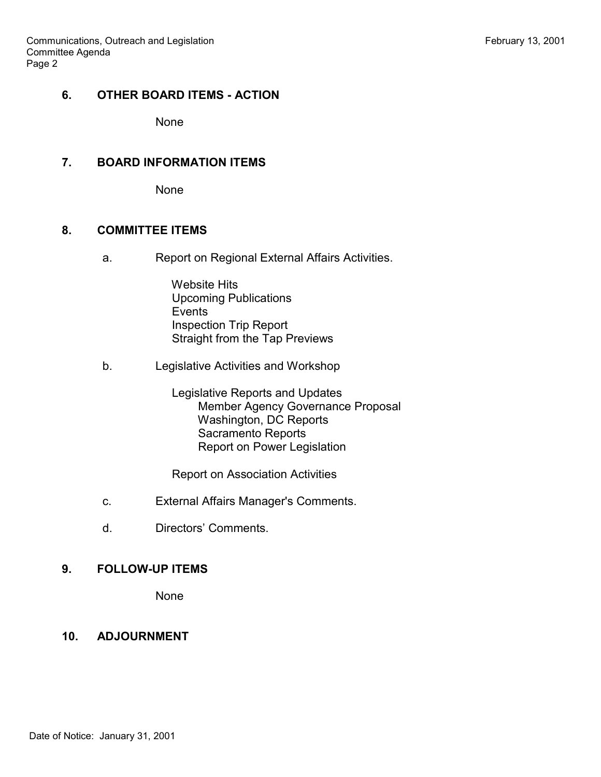# **6. OTHER BOARD ITEMS - ACTION**

None

### **7. BOARD INFORMATION ITEMS**

None

#### **8. COMMITTEE ITEMS**

a. Report on Regional External Affairs Activities.

 Website Hits Upcoming Publications Events Inspection Trip Report Straight from the Tap Previews

b. Legislative Activities and Workshop

 Legislative Reports and Updates Member Agency Governance Proposal Washington, DC Reports Sacramento Reports Report on Power Legislation

Report on Association Activities

- c. External Affairs Manager's Comments.
- d. Directors' Comments.

# **9. FOLLOW-UP ITEMS**

None

# **10. ADJOURNMENT**